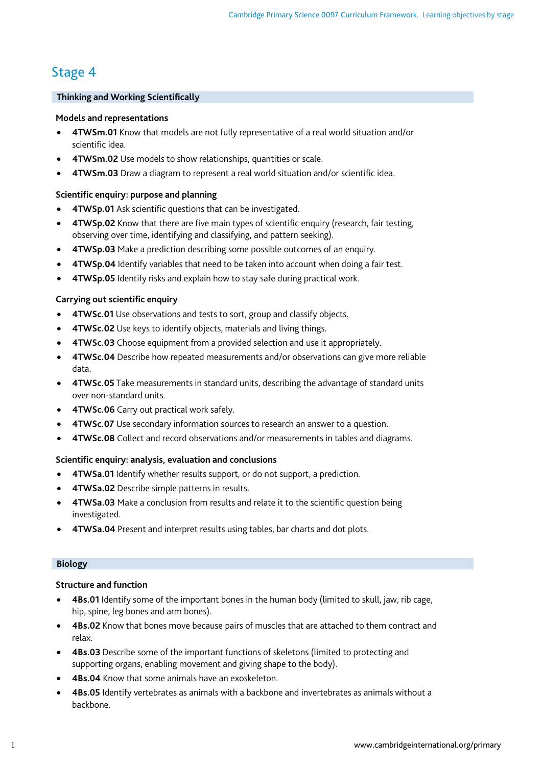# Stage 4

# **Thinking and Working Scientifically**

# **Models and representations**

- **4TWSm.01** Know that models are not fully representative of a real world situation and/or scientific idea.
- **4TWSm.02** Use models to show relationships, quantities or scale.
- **4TWSm.03** Draw a diagram to represent a real world situation and/or scientific idea.

# **Scientific enquiry: purpose and planning**

- **4TWSp.01** Ask scientific questions that can be investigated.
- **4TWSp.02** Know that there are five main types of scientific enquiry (research, fair testing, observing over time, identifying and classifying, and pattern seeking).
- **4TWSp.03** Make a prediction describing some possible outcomes of an enquiry.
- **4TWSp.04** Identify variables that need to be taken into account when doing a fair test.
- **4TWSp.05** Identify risks and explain how to stay safe during practical work.

# **Carrying out scientific enquiry**

- **4TWSc.01** Use observations and tests to sort, group and classify objects.
- **4TWSc.02** Use keys to identify objects, materials and living things.
- **4TWSc.03** Choose equipment from a provided selection and use it appropriately.
- **4TWSc.04** Describe how repeated measurements and/or observations can give more reliable data.
- **4TWSc.05** Take measurements in standard units, describing the advantage of standard units over non-standard units.
- **4TWSc.06** Carry out practical work safely.
- **4TWSc.07** Use secondary information sources to research an answer to a question.
- **4TWSc.08** Collect and record observations and/or measurements in tables and diagrams.

# **Scientific enquiry: analysis, evaluation and conclusions**

- **4TWSa.01** Identify whether results support, or do not support, a prediction.
- **4TWSa.02** Describe simple patterns in results.
- **4TWSa.03** Make a conclusion from results and relate it to the scientific question being investigated.
- **4TWSa.04** Present and interpret results using tables, bar charts and dot plots.

# **Biology**

# **Structure and function**

- **4Bs.01** Identify some of the important bones in the human body (limited to skull, jaw, rib cage, hip, spine, leg bones and arm bones).
- **4Bs.02** Know that bones move because pairs of muscles that are attached to them contract and relax.
- **4Bs.03** Describe some of the important functions of skeletons (limited to protecting and supporting organs, enabling movement and giving shape to the body).
- **4Bs.04** Know that some animals have an exoskeleton.
- **4Bs.05** Identify vertebrates as animals with a backbone and invertebrates as animals without a backbone.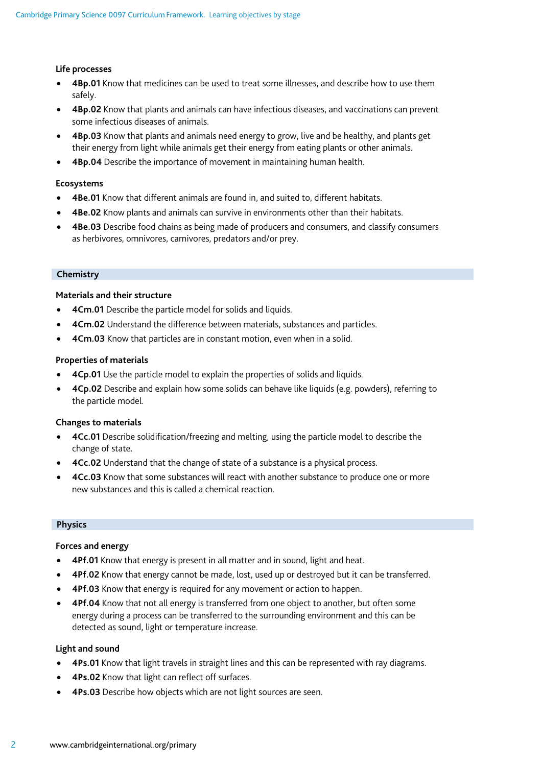### **Life processes**

- **4Bp.01** Know that medicines can be used to treat some illnesses, and describe how to use them safely.
- **4Bp.02** Know that plants and animals can have infectious diseases, and vaccinations can prevent some infectious diseases of animals.
- **4Bp.03** Know that plants and animals need energy to grow, live and be healthy, and plants get their energy from light while animals get their energy from eating plants or other animals.
- **4Bp.04** Describe the importance of movement in maintaining human health.

#### **Ecosystems**

- **4Be.01** Know that different animals are found in, and suited to, different habitats.
- **4Be.02** Know plants and animals can survive in environments other than their habitats.
- **4Be.03** Describe food chains as being made of producers and consumers, and classify consumers as herbivores, omnivores, carnivores, predators and/or prey.

### **Chemistry**

#### **Materials and their structure**

- **4Cm.01** Describe the particle model for solids and liquids.
- **4Cm.02** Understand the difference between materials, substances and particles.
- **4Cm.03** Know that particles are in constant motion, even when in a solid.

### **Properties of materials**

- **4Cp.01** Use the particle model to explain the properties of solids and liquids.
- **4Cp.02** Describe and explain how some solids can behave like liquids (e.g. powders), referring to the particle model.

#### **Changes to materials**

- **4Cc.01** Describe solidification/freezing and melting, using the particle model to describe the change of state.
- **4Cc.02** Understand that the change of state of a substance is a physical process.
- **4Cc.03** Know that some substances will react with another substance to produce one or more new substances and this is called a chemical reaction.

#### **Physics**

#### **Forces and energy**

- **4Pf.01** Know that energy is present in all matter and in sound, light and heat.
- **4Pf.02** Know that energy cannot be made, lost, used up or destroyed but it can be transferred.
- **4Pf.03** Know that energy is required for any movement or action to happen.
- **4Pf.04** Know that not all energy is transferred from one object to another, but often some energy during a process can be transferred to the surrounding environment and this can be detected as sound, light or temperature increase.

#### **Light and sound**

- **4Ps.01** Know that light travels in straight lines and this can be represented with ray diagrams.
- **4Ps.02** Know that light can reflect off surfaces.
- **4Ps.03** Describe how objects which are not light sources are seen.